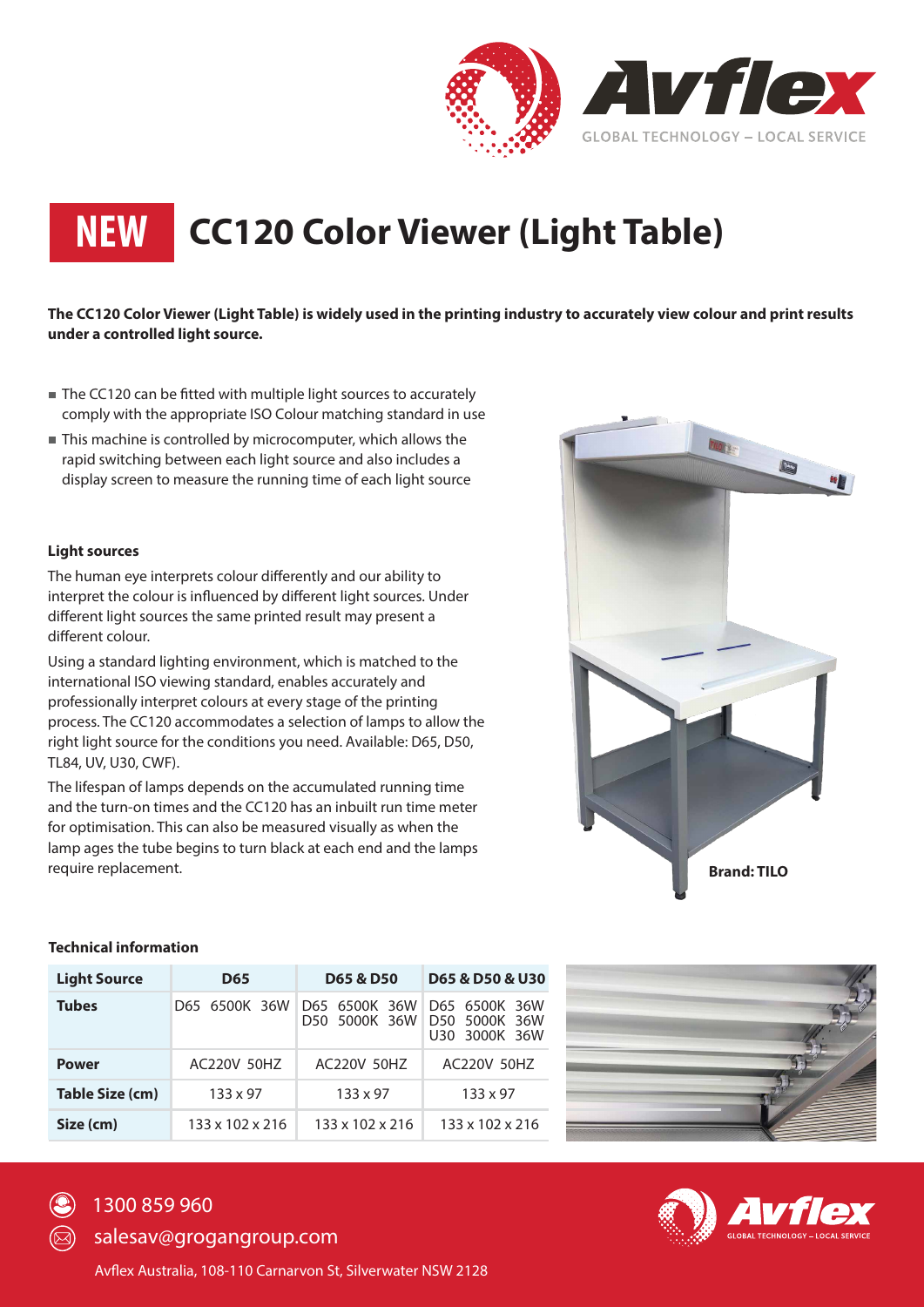

# **CC120 Color Viewer (Light Table) NEW**

## **The CC120 Color Viewer (Light Table) is widely used in the printing industry to accurately view colour and print results under a controlled light source.**

- The CC120 can be fitted with multiple light sources to accurately comply with the appropriate ISO Colour matching standard in use
- This machine is controlled by microcomputer, which allows the rapid switching between each light source and also includes a display screen to measure the running time of each light source

#### **Light sources**

The human eye interprets colour differently and our ability to interpret the colour is influenced by different light sources. Under different light sources the same printed result may present a different colour.

Using a standard lighting environment, which is matched to the international ISO viewing standard, enables accurately and professionally interpret colours at every stage of the printing process. The CC120 accommodates a selection of lamps to allow the right light source for the conditions you need. Available: D65, D50, TL84, UV, U30, CWF).

The lifespan of lamps depends on the accumulated running time and the turn-on times and the CC120 has an inbuilt run time meter for optimisation. This can also be measured visually as when the lamp ages the tube begins to turn black at each end and the lamps require replacement. **Brand: TILO** 



### **Technical information**

| <b>Light Source</b>    | <b>D65</b>                  | <b>D65 &amp; D50</b>           | <b>D65 &amp; D50 &amp; U30</b>                  |
|------------------------|-----------------------------|--------------------------------|-------------------------------------------------|
| <b>Tubes</b>           | D65 6500K 36W               | D65 6500K 36W<br>D50 5000K 36W | D65 6500K 36W<br>D50 5000K 36W<br>U30 3000K 36W |
| Power                  | AC220V 50HZ                 | AC220V 50HZ                    | AC220V 50HZ                                     |
| <b>Table Size (cm)</b> | 133 x 97                    | 133 x 97                       | $133 \times 97$                                 |
| Size (cm)              | $133 \times 102 \times 216$ | $133 \times 102 \times 216$    | $133 \times 102 \times 216$                     |





## 1300 859 960

salesav@grogangroup.com

Avflex Australia, 108-110 Carnarvon St, Silverwater NSW 2128